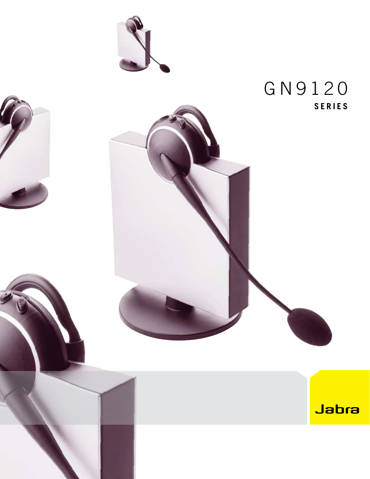